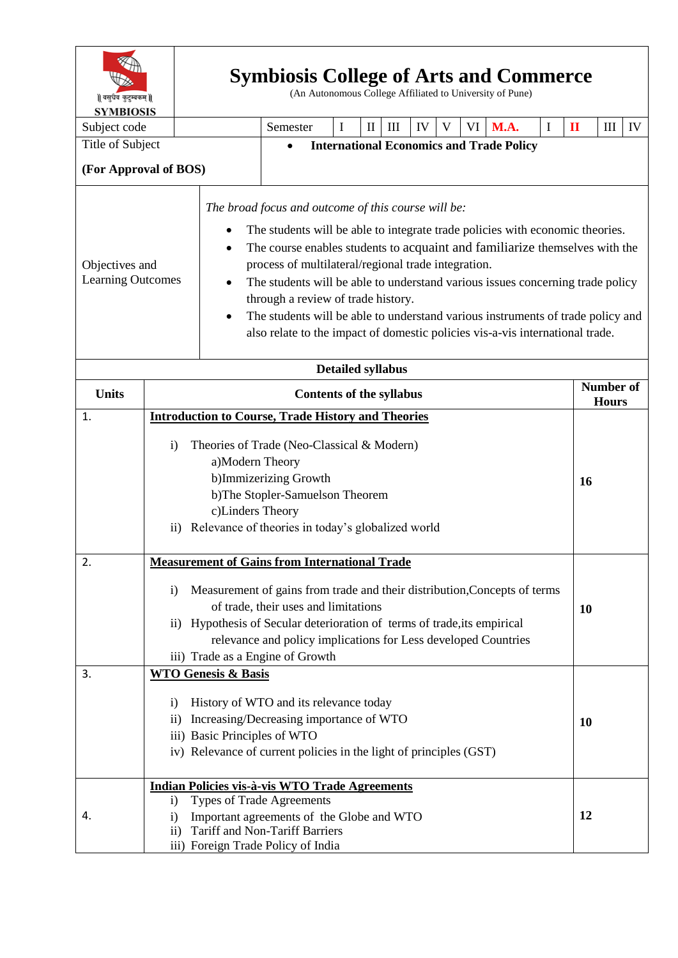| ॥ वसुधैव कुटुम्बकम् ॥<br><b>SYMBIOSIS</b>  |                                                                                                                                                                                                                                                                                                                                                                                      |  | <b>Symbiosis College of Arts and Commerce</b><br>(An Autonomous College Affiliated to University of Pune)                                                                                                                                                                                                                                                                                                                                                                                                                                                                   |  |                                                                                                                                                                                                         |             |                   |   |    |   |                                                 |                                  |          |              |                                  |    |
|--------------------------------------------|--------------------------------------------------------------------------------------------------------------------------------------------------------------------------------------------------------------------------------------------------------------------------------------------------------------------------------------------------------------------------------------|--|-----------------------------------------------------------------------------------------------------------------------------------------------------------------------------------------------------------------------------------------------------------------------------------------------------------------------------------------------------------------------------------------------------------------------------------------------------------------------------------------------------------------------------------------------------------------------------|--|---------------------------------------------------------------------------------------------------------------------------------------------------------------------------------------------------------|-------------|-------------------|---|----|---|-------------------------------------------------|----------------------------------|----------|--------------|----------------------------------|----|
| Subject code                               |                                                                                                                                                                                                                                                                                                                                                                                      |  |                                                                                                                                                                                                                                                                                                                                                                                                                                                                                                                                                                             |  | Semester                                                                                                                                                                                                | $\mathbf I$ | $\mathop{\rm II}$ | Ш | IV | V |                                                 | VI M.A.                          | $\bf{I}$ | $\mathbf{I}$ | $\mathop{\mathrm{III}}\nolimits$ | IV |
| Title of Subject                           |                                                                                                                                                                                                                                                                                                                                                                                      |  |                                                                                                                                                                                                                                                                                                                                                                                                                                                                                                                                                                             |  |                                                                                                                                                                                                         |             |                   |   |    |   | <b>International Economics and Trade Policy</b> |                                  |          |              |                                  |    |
| (For Approval of BOS)                      |                                                                                                                                                                                                                                                                                                                                                                                      |  |                                                                                                                                                                                                                                                                                                                                                                                                                                                                                                                                                                             |  |                                                                                                                                                                                                         |             |                   |   |    |   |                                                 |                                  |          |              |                                  |    |
| Objectives and<br><b>Learning Outcomes</b> |                                                                                                                                                                                                                                                                                                                                                                                      |  | The broad focus and outcome of this course will be:<br>The students will be able to integrate trade policies with economic theories.<br>The course enables students to acquaint and familiarize themselves with the<br>٠<br>process of multilateral/regional trade integration.<br>The students will be able to understand various issues concerning trade policy<br>through a review of trade history.<br>The students will be able to understand various instruments of trade policy and<br>also relate to the impact of domestic policies vis-a-vis international trade. |  |                                                                                                                                                                                                         |             |                   |   |    |   |                                                 |                                  |          |              |                                  |    |
|                                            | <b>Detailed syllabus</b>                                                                                                                                                                                                                                                                                                                                                             |  |                                                                                                                                                                                                                                                                                                                                                                                                                                                                                                                                                                             |  |                                                                                                                                                                                                         |             |                   |   |    |   |                                                 |                                  |          |              |                                  |    |
| <b>Units</b>                               | <b>Contents of the syllabus</b>                                                                                                                                                                                                                                                                                                                                                      |  |                                                                                                                                                                                                                                                                                                                                                                                                                                                                                                                                                                             |  |                                                                                                                                                                                                         |             |                   |   |    |   |                                                 | <b>Number of</b><br><b>Hours</b> |          |              |                                  |    |
| 1.                                         |                                                                                                                                                                                                                                                                                                                                                                                      |  |                                                                                                                                                                                                                                                                                                                                                                                                                                                                                                                                                                             |  | <b>Introduction to Course, Trade History and Theories</b>                                                                                                                                               |             |                   |   |    |   |                                                 |                                  |          |              |                                  |    |
|                                            | Theories of Trade (Neo-Classical & Modern)<br>$\mathbf{i}$<br>a)Modern Theory<br>b)Immizerizing Growth<br>b)The Stopler-Samuelson Theorem<br>c)Linders Theory<br>Relevance of theories in today's globalized world<br>$\rm ii)$                                                                                                                                                      |  |                                                                                                                                                                                                                                                                                                                                                                                                                                                                                                                                                                             |  |                                                                                                                                                                                                         |             |                   |   |    |   | <b>16</b>                                       |                                  |          |              |                                  |    |
| 2.                                         | <b>Measurement of Gains from International Trade</b><br>Measurement of gains from trade and their distribution, Concepts of terms<br>$\mathbf{i}$<br>of trade, their uses and limitations<br>Hypothesis of Secular deterioration of terms of trade, its empirical<br>$\rm ii)$<br>relevance and policy implications for Less developed Countries<br>iii) Trade as a Engine of Growth |  |                                                                                                                                                                                                                                                                                                                                                                                                                                                                                                                                                                             |  |                                                                                                                                                                                                         |             |                   |   |    |   | <b>10</b>                                       |                                  |          |              |                                  |    |
| 3.                                         | <b>WTO Genesis &amp; Basis</b><br>History of WTO and its relevance today<br>$\mathbf{i}$<br>Increasing/Decreasing importance of WTO<br>$\mathbf{ii}$<br>iii) Basic Principles of WTO<br>iv) Relevance of current policies in the light of principles (GST)                                                                                                                           |  |                                                                                                                                                                                                                                                                                                                                                                                                                                                                                                                                                                             |  |                                                                                                                                                                                                         |             |                   |   |    |   | <b>10</b>                                       |                                  |          |              |                                  |    |
| 4.                                         | $\mathbf{i}$<br>$\mathbf{i}$<br>$\rm ii)$                                                                                                                                                                                                                                                                                                                                            |  |                                                                                                                                                                                                                                                                                                                                                                                                                                                                                                                                                                             |  | Indian Policies vis-à-vis WTO Trade Agreements<br>Types of Trade Agreements<br>Important agreements of the Globe and WTO<br><b>Tariff and Non-Tariff Barriers</b><br>iii) Foreign Trade Policy of India |             |                   |   |    |   |                                                 |                                  |          | 12           |                                  |    |